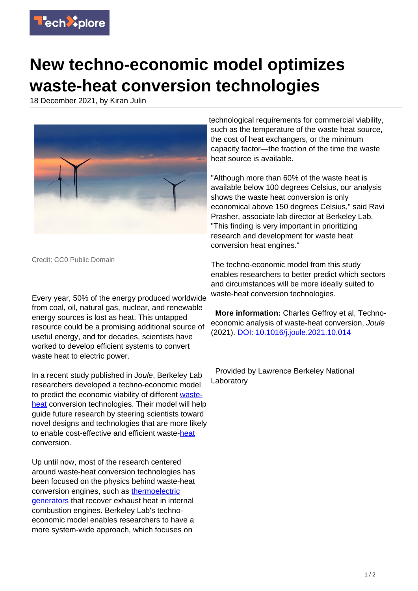

## **New techno-economic model optimizes waste-heat conversion technologies**

18 December 2021, by Kiran Julin



Credit: CC0 Public Domain

Every year, 50% of the energy produced worldwide from coal, oil, natural gas, nuclear, and renewable energy sources is lost as heat. This untapped resource could be a promising additional source of useful energy, and for decades, scientists have worked to develop efficient systems to convert waste heat to electric power.

In a recent study published in Joule, Berkeley Lab researchers developed a techno-economic model to predict the economic viability of different [waste](https://techxplore.com/tags/waste+heat/)[heat](https://techxplore.com/tags/waste+heat/) conversion technologies. Their model will help guide future research by steering scientists toward novel designs and technologies that are more likely to enable cost-effective and efficient waste[-heat](https://techxplore.com/tags/heat/) conversion.

Up until now, most of the research centered around waste-heat conversion technologies has been focused on the physics behind waste-heat conversion engines, such as [thermoelectric](https://techxplore.com/tags/thermoelectric+generators/) [generators](https://techxplore.com/tags/thermoelectric+generators/) that recover exhaust heat in internal combustion engines. Berkeley Lab's technoeconomic model enables researchers to have a more system-wide approach, which focuses on

technological requirements for commercial viability, such as the temperature of the waste heat source, the cost of heat exchangers, or the minimum capacity factor—the fraction of the time the waste heat source is available.

"Although more than 60% of the waste heat is available below 100 degrees Celsius, our analysis shows the waste heat conversion is only economical above 150 degrees Celsius," said Ravi Prasher, associate lab director at Berkeley Lab. "This finding is very important in prioritizing research and development for waste heat conversion heat engines."

The techno-economic model from this study enables researchers to better predict which sectors and circumstances will be more ideally suited to waste-heat conversion technologies.

 **More information:** Charles Geffroy et al, Technoeconomic analysis of waste-heat conversion, Joule (2021). [DOI: 10.1016/j.joule.2021.10.014](http://dx.doi.org/10.1016/j.joule.2021.10.014)

 Provided by Lawrence Berkeley National Laboratory